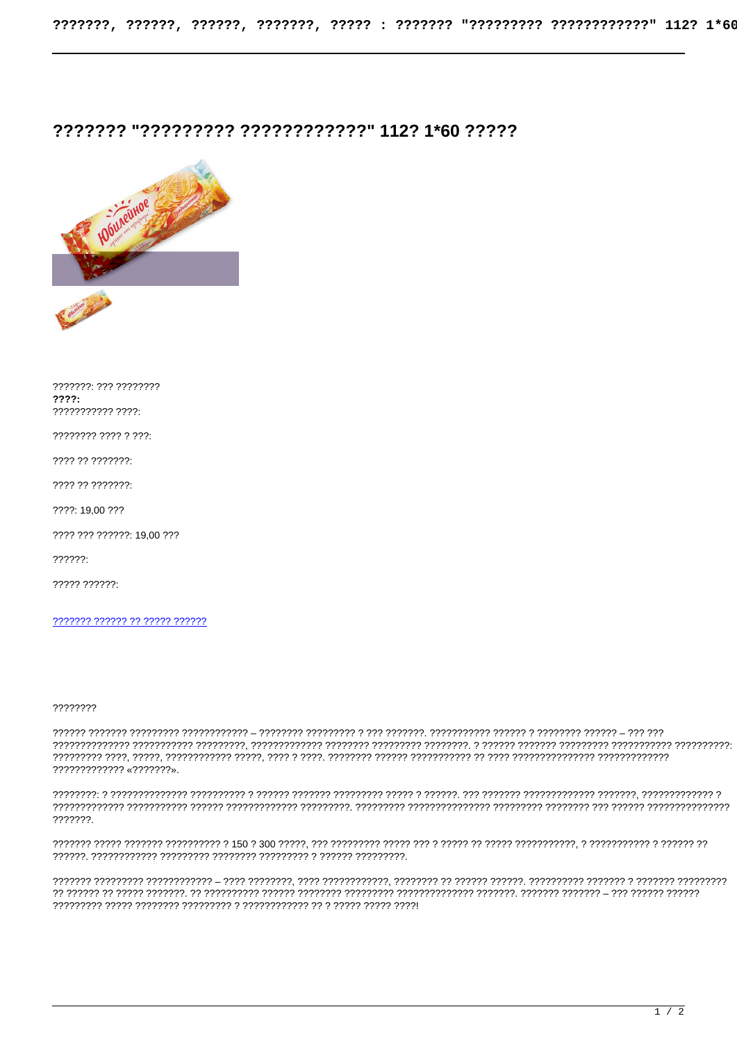## ?????? "????????? ????????????" 112? 1\*60 ?????



???????: ??? ????????  $????:$ ??????????? ????

???? ?? ???????:

???? ?? ???????:

????: 19,00 ???

???? ??? ??????: 19,00 ???

 $??????$ 

??????? ?????? ?? ????? ??????

????????

????????????? «???????».

, במממכת הממודד המממכת ממודד הממודד מכל הממכת הממכת המודד הממודד הממכת ממכת הממכת הממכת הממכת המודד הממכת הממ ???????.